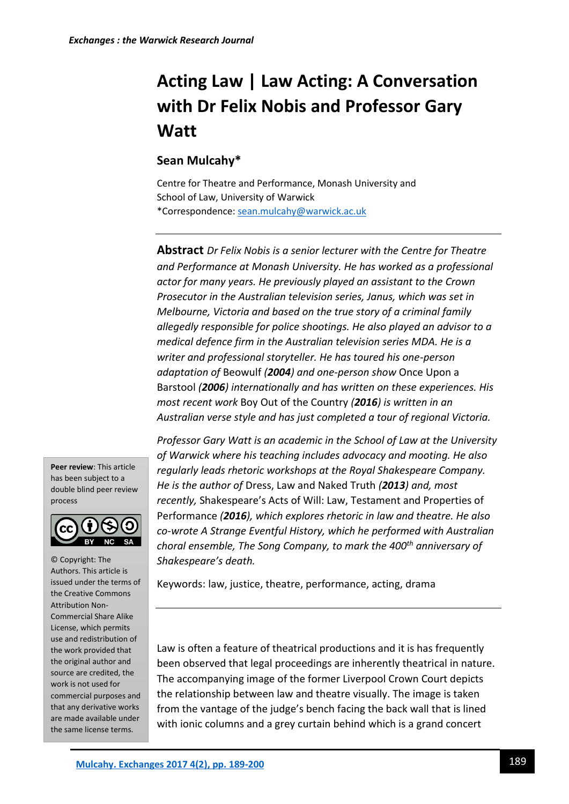# **Acting Law | Law Acting: A Conversation with Dr Felix Nobis and Professor Gary Watt**

## **Sean Mulcahy\***

Centre for Theatre and Performance, Monash University and School of Law, University of Warwick \*Correspondence[: sean.mulcahy@warwick.ac.uk](mailto:sean.mulcahy@warwick.ac.uk)

**Abstract** *Dr Felix Nobis is a senior lecturer with the Centre for Theatre and Performance at Monash University. He has worked as a professional actor for many years. He previously played an assistant to the Crown Prosecutor in the Australian television series, Janus, which was set in Melbourne, Victoria and based on the true story of a criminal family allegedly responsible for police shootings. He also played an advisor to a medical defence firm in the Australian television series MDA. He is a writer and professional storyteller. He has toured his one-person adaptation of* Beowulf *(2004) and one-person show* Once Upon a Barstool *(2006) internationally and has written on these experiences. His most recent work* Boy Out of the Country *(2016) is written in an Australian verse style and has just completed a tour of regional Victoria.* 

**Peer review**: This article has been subject to a double blind peer review process



© Copyright: The Authors. This article is issued under the terms of the Creative Commons Attribution Non-Commercial Share Alike License, which permits use and redistribution of the work provided that the original author and source are credited, the work is not used for commercial purposes and that any derivative works are made available under the same license terms.

*Professor Gary Watt is an academic in the School of Law at the University of Warwick where his teaching includes advocacy and mooting. He also regularly leads rhetoric workshops at the Royal Shakespeare Company. He is the author of* Dress, Law and Naked Truth *(2013) and, most recently,* Shakespeare's Acts of Will: Law, Testament and Properties of Performance *(2016), which explores rhetoric in law and theatre. He also co-wrote A Strange Eventful History, which he performed with Australian choral ensemble, The Song Company, to mark the 400th anniversary of Shakespeare's death.* 

Keywords: law, justice, theatre, performance, acting, drama

Law is often a feature of theatrical productions and it is has frequently been observed that legal proceedings are inherently theatrical in nature. The accompanying image of the former Liverpool Crown Court depicts the relationship between law and theatre visually. The image is taken from the vantage of the judge's bench facing the back wall that is lined with ionic columns and a grey curtain behind which is a grand concert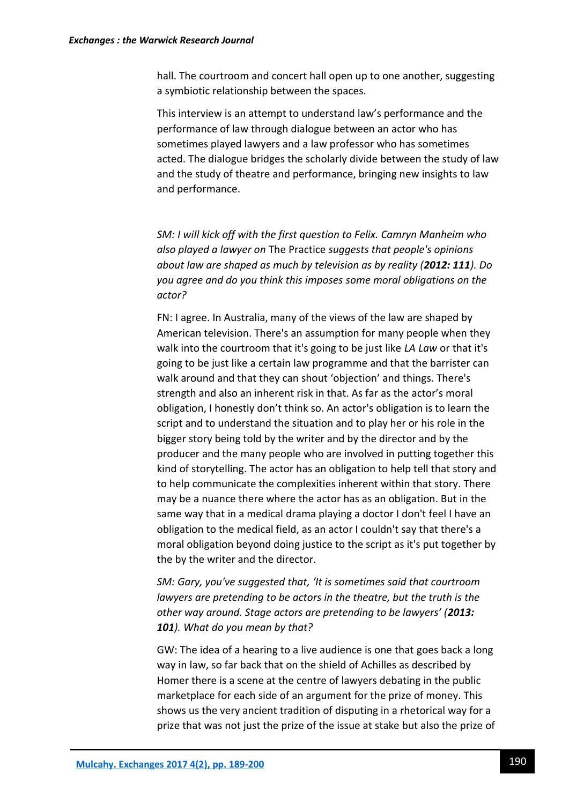hall. The courtroom and concert hall open up to one another, suggesting a symbiotic relationship between the spaces.

This interview is an attempt to understand law's performance and the performance of law through dialogue between an actor who has sometimes played lawyers and a law professor who has sometimes acted. The dialogue bridges the scholarly divide between the study of law and the study of theatre and performance, bringing new insights to law and performance.

*SM: I will kick off with the first question to Felix. Camryn Manheim who also played a lawyer on* The Practice *suggests that people's opinions about law are shaped as much by television as by reality (2012: 111). Do you agree and do you think this imposes some moral obligations on the actor?*

FN: I agree. In Australia, many of the views of the law are shaped by American television. There's an assumption for many people when they walk into the courtroom that it's going to be just like *LA Law* or that it's going to be just like a certain law programme and that the barrister can walk around and that they can shout 'objection' and things. There's strength and also an inherent risk in that. As far as the actor's moral obligation, I honestly don't think so. An actor's obligation is to learn the script and to understand the situation and to play her or his role in the bigger story being told by the writer and by the director and by the producer and the many people who are involved in putting together this kind of storytelling. The actor has an obligation to help tell that story and to help communicate the complexities inherent within that story. There may be a nuance there where the actor has as an obligation. But in the same way that in a medical drama playing a doctor I don't feel I have an obligation to the medical field, as an actor I couldn't say that there's a moral obligation beyond doing justice to the script as it's put together by the by the writer and the director.

*SM: Gary, you've suggested that, 'It is sometimes said that courtroom lawyers are pretending to be actors in the theatre, but the truth is the other way around. Stage actors are pretending to be lawyers' (2013: 101). What do you mean by that?*

GW: The idea of a hearing to a live audience is one that goes back a long way in law, so far back that on the shield of Achilles as described by Homer there is a scene at the centre of lawyers debating in the public marketplace for each side of an argument for the prize of money. This shows us the very ancient tradition of disputing in a rhetorical way for a prize that was not just the prize of the issue at stake but also the prize of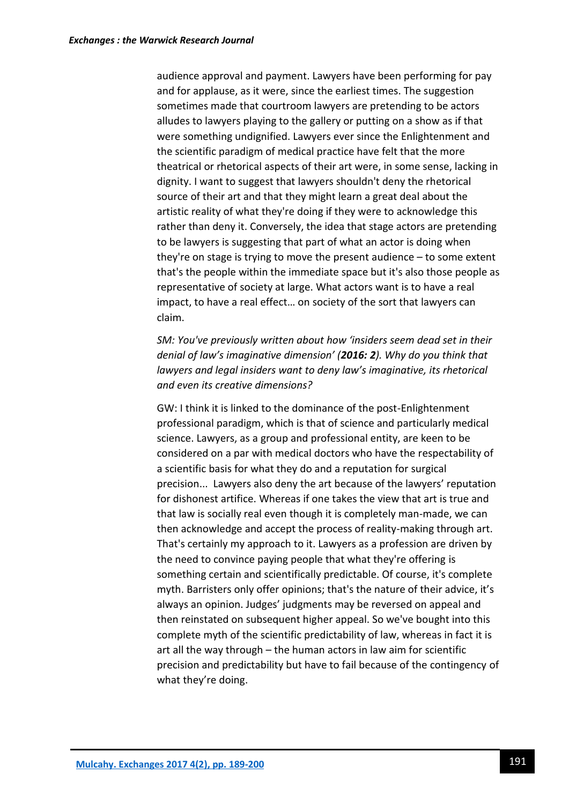audience approval and payment. Lawyers have been performing for pay and for applause, as it were, since the earliest times. The suggestion sometimes made that courtroom lawyers are pretending to be actors alludes to lawyers playing to the gallery or putting on a show as if that were something undignified. Lawyers ever since the Enlightenment and the scientific paradigm of medical practice have felt that the more theatrical or rhetorical aspects of their art were, in some sense, lacking in dignity. I want to suggest that lawyers shouldn't deny the rhetorical source of their art and that they might learn a great deal about the artistic reality of what they're doing if they were to acknowledge this rather than deny it. Conversely, the idea that stage actors are pretending to be lawyers is suggesting that part of what an actor is doing when they're on stage is trying to move the present audience – to some extent that's the people within the immediate space but it's also those people as representative of society at large. What actors want is to have a real impact, to have a real effect… on society of the sort that lawyers can claim.

*SM: You've previously written about how 'insiders seem dead set in their denial of law's imaginative dimension' (2016: 2). Why do you think that lawyers and legal insiders want to deny law's imaginative, its rhetorical and even its creative dimensions?*

GW: I think it is linked to the dominance of the post-Enlightenment professional paradigm, which is that of science and particularly medical science. Lawyers, as a group and professional entity, are keen to be considered on a par with medical doctors who have the respectability of a scientific basis for what they do and a reputation for surgical precision... Lawyers also deny the art because of the lawyers' reputation for dishonest artifice. Whereas if one takes the view that art is true and that law is socially real even though it is completely man-made, we can then acknowledge and accept the process of reality-making through art. That's certainly my approach to it. Lawyers as a profession are driven by the need to convince paying people that what they're offering is something certain and scientifically predictable. Of course, it's complete myth. Barristers only offer opinions; that's the nature of their advice, it's always an opinion. Judges' judgments may be reversed on appeal and then reinstated on subsequent higher appeal. So we've bought into this complete myth of the scientific predictability of law, whereas in fact it is art all the way through – the human actors in law aim for scientific precision and predictability but have to fail because of the contingency of what they're doing.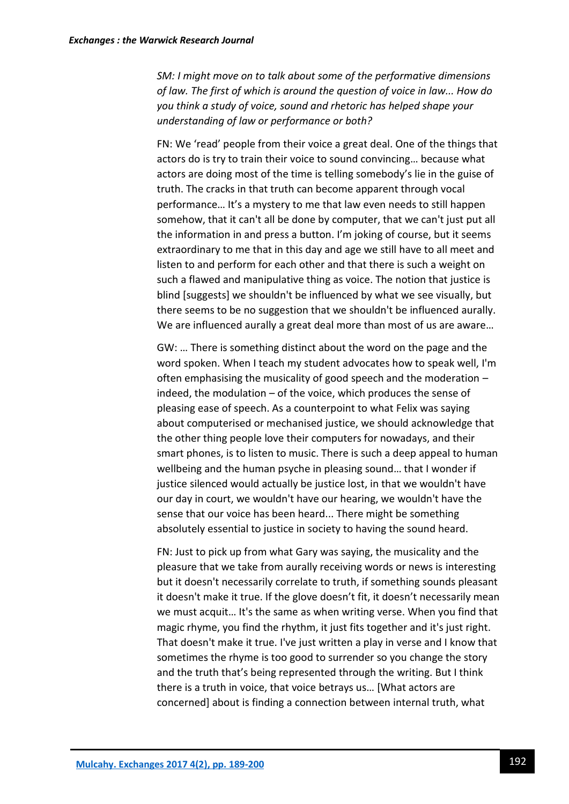*SM: I might move on to talk about some of the performative dimensions of law. The first of which is around the question of voice in law... How do you think a study of voice, sound and rhetoric has helped shape your understanding of law or performance or both?*

FN: We 'read' people from their voice a great deal. One of the things that actors do is try to train their voice to sound convincing… because what actors are doing most of the time is telling somebody's lie in the guise of truth. The cracks in that truth can become apparent through vocal performance… It's a mystery to me that law even needs to still happen somehow, that it can't all be done by computer, that we can't just put all the information in and press a button. I'm joking of course, but it seems extraordinary to me that in this day and age we still have to all meet and listen to and perform for each other and that there is such a weight on such a flawed and manipulative thing as voice. The notion that justice is blind [suggests] we shouldn't be influenced by what we see visually, but there seems to be no suggestion that we shouldn't be influenced aurally. We are influenced aurally a great deal more than most of us are aware…

GW: … There is something distinct about the word on the page and the word spoken. When I teach my student advocates how to speak well, I'm often emphasising the musicality of good speech and the moderation – indeed, the modulation – of the voice, which produces the sense of pleasing ease of speech. As a counterpoint to what Felix was saying about computerised or mechanised justice, we should acknowledge that the other thing people love their computers for nowadays, and their smart phones, is to listen to music. There is such a deep appeal to human wellbeing and the human psyche in pleasing sound… that I wonder if justice silenced would actually be justice lost, in that we wouldn't have our day in court, we wouldn't have our hearing, we wouldn't have the sense that our voice has been heard... There might be something absolutely essential to justice in society to having the sound heard.

FN: Just to pick up from what Gary was saying, the musicality and the pleasure that we take from aurally receiving words or news is interesting but it doesn't necessarily correlate to truth, if something sounds pleasant it doesn't make it true. If the glove doesn't fit, it doesn't necessarily mean we must acquit… It's the same as when writing verse. When you find that magic rhyme, you find the rhythm, it just fits together and it's just right. That doesn't make it true. I've just written a play in verse and I know that sometimes the rhyme is too good to surrender so you change the story and the truth that's being represented through the writing. But I think there is a truth in voice, that voice betrays us… [What actors are concerned] about is finding a connection between internal truth, what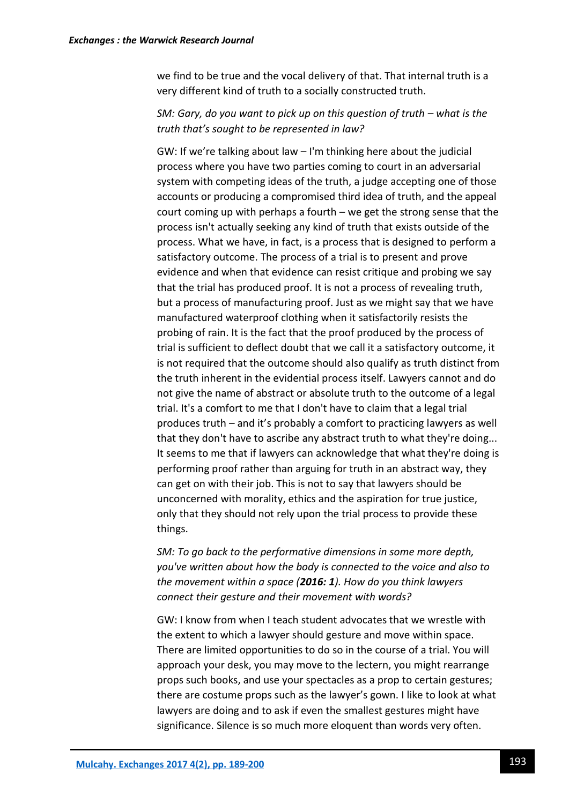we find to be true and the vocal delivery of that. That internal truth is a very different kind of truth to a socially constructed truth.

#### *SM: Gary, do you want to pick up on this question of truth – what is the truth that's sought to be represented in law?*

GW: If we're talking about law – I'm thinking here about the judicial process where you have two parties coming to court in an adversarial system with competing ideas of the truth, a judge accepting one of those accounts or producing a compromised third idea of truth, and the appeal court coming up with perhaps a fourth – we get the strong sense that the process isn't actually seeking any kind of truth that exists outside of the process. What we have, in fact, is a process that is designed to perform a satisfactory outcome. The process of a trial is to present and prove evidence and when that evidence can resist critique and probing we say that the trial has produced proof. It is not a process of revealing truth, but a process of manufacturing proof. Just as we might say that we have manufactured waterproof clothing when it satisfactorily resists the probing of rain. It is the fact that the proof produced by the process of trial is sufficient to deflect doubt that we call it a satisfactory outcome, it is not required that the outcome should also qualify as truth distinct from the truth inherent in the evidential process itself. Lawyers cannot and do not give the name of abstract or absolute truth to the outcome of a legal trial. It's a comfort to me that I don't have to claim that a legal trial produces truth – and it's probably a comfort to practicing lawyers as well that they don't have to ascribe any abstract truth to what they're doing... It seems to me that if lawyers can acknowledge that what they're doing is performing proof rather than arguing for truth in an abstract way, they can get on with their job. This is not to say that lawyers should be unconcerned with morality, ethics and the aspiration for true justice, only that they should not rely upon the trial process to provide these things.

*SM: To go back to the performative dimensions in some more depth, you've written about how the body is connected to the voice and also to the movement within a space (2016: 1). How do you think lawyers connect their gesture and their movement with words?*

GW: I know from when I teach student advocates that we wrestle with the extent to which a lawyer should gesture and move within space. There are limited opportunities to do so in the course of a trial. You will approach your desk, you may move to the lectern, you might rearrange props such books, and use your spectacles as a prop to certain gestures; there are costume props such as the lawyer's gown. I like to look at what lawyers are doing and to ask if even the smallest gestures might have significance. Silence is so much more eloquent than words very often.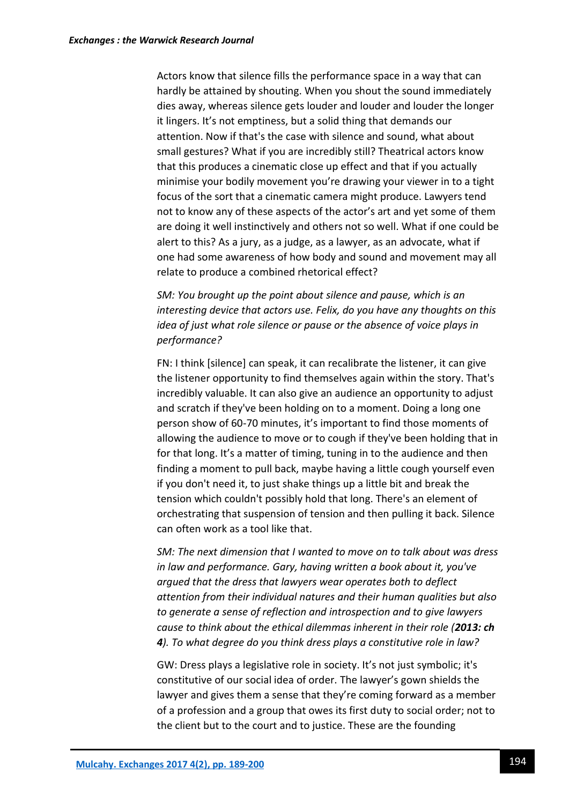Actors know that silence fills the performance space in a way that can hardly be attained by shouting. When you shout the sound immediately dies away, whereas silence gets louder and louder and louder the longer it lingers. It's not emptiness, but a solid thing that demands our attention. Now if that's the case with silence and sound, what about small gestures? What if you are incredibly still? Theatrical actors know that this produces a cinematic close up effect and that if you actually minimise your bodily movement you're drawing your viewer in to a tight focus of the sort that a cinematic camera might produce. Lawyers tend not to know any of these aspects of the actor's art and yet some of them are doing it well instinctively and others not so well. What if one could be alert to this? As a jury, as a judge, as a lawyer, as an advocate, what if one had some awareness of how body and sound and movement may all relate to produce a combined rhetorical effect?

*SM: You brought up the point about silence and pause, which is an interesting device that actors use. Felix, do you have any thoughts on this idea of just what role silence or pause or the absence of voice plays in performance?*

FN: I think [silence] can speak, it can recalibrate the listener, it can give the listener opportunity to find themselves again within the story. That's incredibly valuable. It can also give an audience an opportunity to adjust and scratch if they've been holding on to a moment. Doing a long one person show of 60-70 minutes, it's important to find those moments of allowing the audience to move or to cough if they've been holding that in for that long. It's a matter of timing, tuning in to the audience and then finding a moment to pull back, maybe having a little cough yourself even if you don't need it, to just shake things up a little bit and break the tension which couldn't possibly hold that long. There's an element of orchestrating that suspension of tension and then pulling it back. Silence can often work as a tool like that.

*SM: The next dimension that I wanted to move on to talk about was dress in law and performance. Gary, having written a book about it, you've argued that the dress that lawyers wear operates both to deflect attention from their individual natures and their human qualities but also to generate a sense of reflection and introspection and to give lawyers cause to think about the ethical dilemmas inherent in their role (2013: ch 4). To what degree do you think dress plays a constitutive role in law?*

GW: Dress plays a legislative role in society. It's not just symbolic; it's constitutive of our social idea of order. The lawyer's gown shields the lawyer and gives them a sense that they're coming forward as a member of a profession and a group that owes its first duty to social order; not to the client but to the court and to justice. These are the founding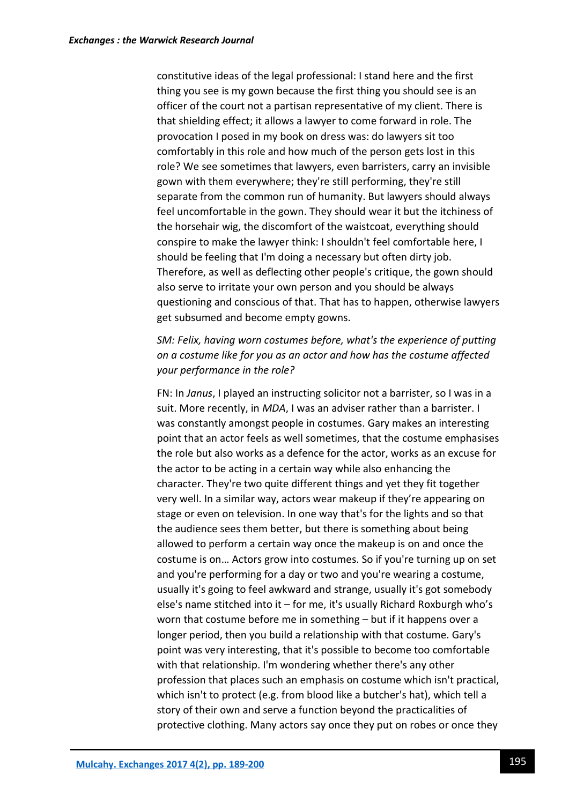constitutive ideas of the legal professional: I stand here and the first thing you see is my gown because the first thing you should see is an officer of the court not a partisan representative of my client. There is that shielding effect; it allows a lawyer to come forward in role. The provocation I posed in my book on dress was: do lawyers sit too comfortably in this role and how much of the person gets lost in this role? We see sometimes that lawyers, even barristers, carry an invisible gown with them everywhere; they're still performing, they're still separate from the common run of humanity. But lawyers should always feel uncomfortable in the gown. They should wear it but the itchiness of the horsehair wig, the discomfort of the waistcoat, everything should conspire to make the lawyer think: I shouldn't feel comfortable here, I should be feeling that I'm doing a necessary but often dirty job. Therefore, as well as deflecting other people's critique, the gown should also serve to irritate your own person and you should be always questioning and conscious of that. That has to happen, otherwise lawyers get subsumed and become empty gowns.

*SM: Felix, having worn costumes before, what's the experience of putting on a costume like for you as an actor and how has the costume affected your performance in the role?*

FN: In *Janus*, I played an instructing solicitor not a barrister, so I was in a suit. More recently, in *MDA*, I was an adviser rather than a barrister. I was constantly amongst people in costumes. Gary makes an interesting point that an actor feels as well sometimes, that the costume emphasises the role but also works as a defence for the actor, works as an excuse for the actor to be acting in a certain way while also enhancing the character. They're two quite different things and yet they fit together very well. In a similar way, actors wear makeup if they're appearing on stage or even on television. In one way that's for the lights and so that the audience sees them better, but there is something about being allowed to perform a certain way once the makeup is on and once the costume is on… Actors grow into costumes. So if you're turning up on set and you're performing for a day or two and you're wearing a costume, usually it's going to feel awkward and strange, usually it's got somebody else's name stitched into it – for me, it's usually Richard Roxburgh who's worn that costume before me in something – but if it happens over a longer period, then you build a relationship with that costume. Gary's point was very interesting, that it's possible to become too comfortable with that relationship. I'm wondering whether there's any other profession that places such an emphasis on costume which isn't practical, which isn't to protect (e.g. from blood like a butcher's hat), which tell a story of their own and serve a function beyond the practicalities of protective clothing. Many actors say once they put on robes or once they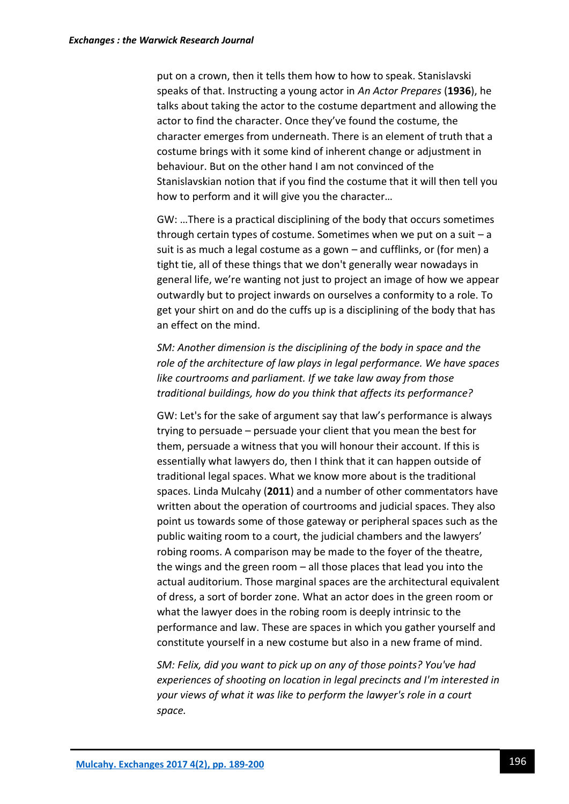put on a crown, then it tells them how to how to speak. Stanislavski speaks of that. Instructing a young actor in *An Actor Prepares* (**1936**), he talks about taking the actor to the costume department and allowing the actor to find the character. Once they've found the costume, the character emerges from underneath. There is an element of truth that a costume brings with it some kind of inherent change or adjustment in behaviour. But on the other hand I am not convinced of the Stanislavskian notion that if you find the costume that it will then tell you how to perform and it will give you the character…

GW: …There is a practical disciplining of the body that occurs sometimes through certain types of costume. Sometimes when we put on a suit  $-a$ suit is as much a legal costume as a gown – and cufflinks, or (for men) a tight tie, all of these things that we don't generally wear nowadays in general life, we're wanting not just to project an image of how we appear outwardly but to project inwards on ourselves a conformity to a role. To get your shirt on and do the cuffs up is a disciplining of the body that has an effect on the mind.

*SM: Another dimension is the disciplining of the body in space and the role of the architecture of law plays in legal performance. We have spaces like courtrooms and parliament. If we take law away from those traditional buildings, how do you think that affects its performance?*

GW: Let's for the sake of argument say that law's performance is always trying to persuade – persuade your client that you mean the best for them, persuade a witness that you will honour their account. If this is essentially what lawyers do, then I think that it can happen outside of traditional legal spaces. What we know more about is the traditional spaces. Linda Mulcahy (**2011**) and a number of other commentators have written about the operation of courtrooms and judicial spaces. They also point us towards some of those gateway or peripheral spaces such as the public waiting room to a court, the judicial chambers and the lawyers' robing rooms. A comparison may be made to the foyer of the theatre, the wings and the green room – all those places that lead you into the actual auditorium. Those marginal spaces are the architectural equivalent of dress, a sort of border zone. What an actor does in the green room or what the lawyer does in the robing room is deeply intrinsic to the performance and law. These are spaces in which you gather yourself and constitute yourself in a new costume but also in a new frame of mind.

*SM: Felix, did you want to pick up on any of those points? You've had experiences of shooting on location in legal precincts and I'm interested in your views of what it was like to perform the lawyer's role in a court space.*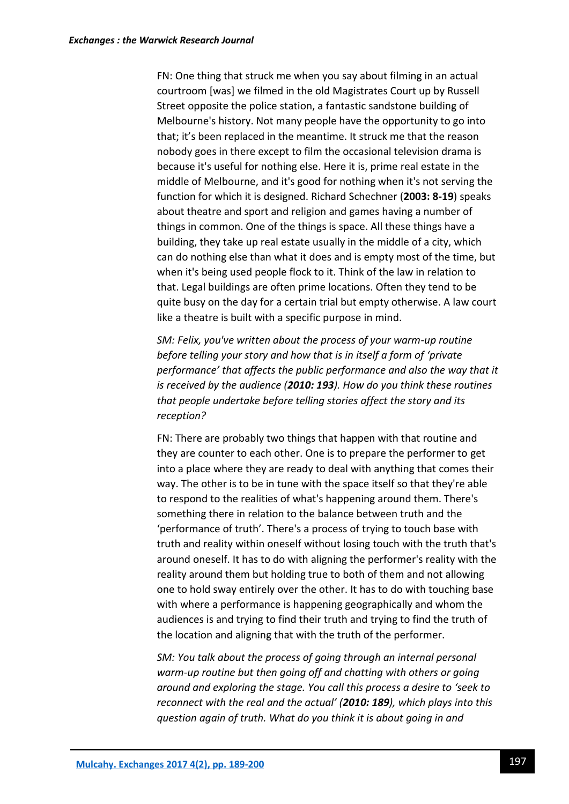FN: One thing that struck me when you say about filming in an actual courtroom [was] we filmed in the old Magistrates Court up by Russell Street opposite the police station, a fantastic sandstone building of Melbourne's history. Not many people have the opportunity to go into that; it's been replaced in the meantime. It struck me that the reason nobody goes in there except to film the occasional television drama is because it's useful for nothing else. Here it is, prime real estate in the middle of Melbourne, and it's good for nothing when it's not serving the function for which it is designed. Richard Schechner (**2003: 8-19**) speaks about theatre and sport and religion and games having a number of things in common. One of the things is space. All these things have a building, they take up real estate usually in the middle of a city, which can do nothing else than what it does and is empty most of the time, but when it's being used people flock to it. Think of the law in relation to that. Legal buildings are often prime locations. Often they tend to be quite busy on the day for a certain trial but empty otherwise. A law court like a theatre is built with a specific purpose in mind.

*SM: Felix, you've written about the process of your warm-up routine before telling your story and how that is in itself a form of 'private performance' that affects the public performance and also the way that it is received by the audience (2010: 193). How do you think these routines that people undertake before telling stories affect the story and its reception?*

FN: There are probably two things that happen with that routine and they are counter to each other. One is to prepare the performer to get into a place where they are ready to deal with anything that comes their way. The other is to be in tune with the space itself so that they're able to respond to the realities of what's happening around them. There's something there in relation to the balance between truth and the 'performance of truth'. There's a process of trying to touch base with truth and reality within oneself without losing touch with the truth that's around oneself. It has to do with aligning the performer's reality with the reality around them but holding true to both of them and not allowing one to hold sway entirely over the other. It has to do with touching base with where a performance is happening geographically and whom the audiences is and trying to find their truth and trying to find the truth of the location and aligning that with the truth of the performer.

*SM: You talk about the process of going through an internal personal warm-up routine but then going off and chatting with others or going around and exploring the stage. You call this process a desire to 'seek to reconnect with the real and the actual' (2010: 189), which plays into this question again of truth. What do you think it is about going in and*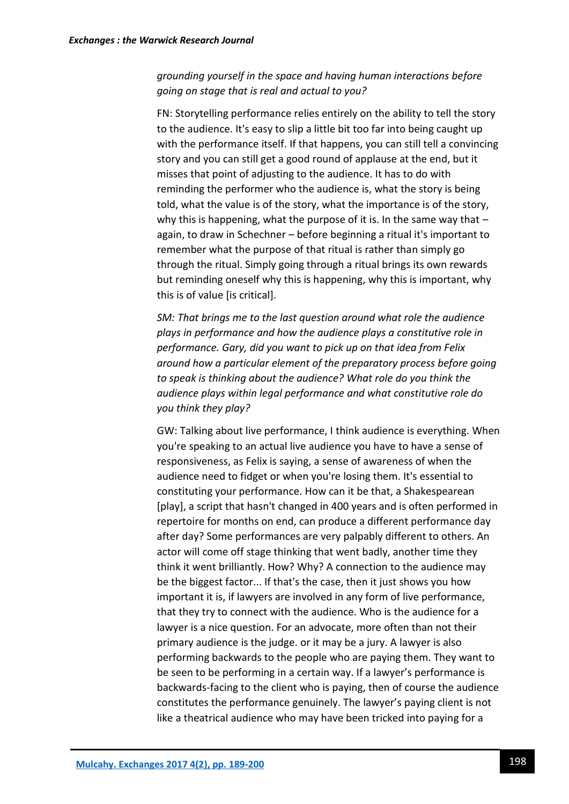### *grounding yourself in the space and having human interactions before going on stage that is real and actual to you?*

FN: Storytelling performance relies entirely on the ability to tell the story to the audience. It's easy to slip a little bit too far into being caught up with the performance itself. If that happens, you can still tell a convincing story and you can still get a good round of applause at the end, but it misses that point of adjusting to the audience. It has to do with reminding the performer who the audience is, what the story is being told, what the value is of the story, what the importance is of the story, why this is happening, what the purpose of it is. In the same way that  $$ again, to draw in Schechner – before beginning a ritual it's important to remember what the purpose of that ritual is rather than simply go through the ritual. Simply going through a ritual brings its own rewards but reminding oneself why this is happening, why this is important, why this is of value [is critical].

*SM: That brings me to the last question around what role the audience plays in performance and how the audience plays a constitutive role in performance. Gary, did you want to pick up on that idea from Felix around how a particular element of the preparatory process before going to speak is thinking about the audience? What role do you think the audience plays within legal performance and what constitutive role do you think they play?*

GW: Talking about live performance, I think audience is everything. When you're speaking to an actual live audience you have to have a sense of responsiveness, as Felix is saying, a sense of awareness of when the audience need to fidget or when you're losing them. It's essential to constituting your performance. How can it be that, a Shakespearean [play], a script that hasn't changed in 400 years and is often performed in repertoire for months on end, can produce a different performance day after day? Some performances are very palpably different to others. An actor will come off stage thinking that went badly, another time they think it went brilliantly. How? Why? A connection to the audience may be the biggest factor... If that's the case, then it just shows you how important it is, if lawyers are involved in any form of live performance, that they try to connect with the audience. Who is the audience for a lawyer is a nice question. For an advocate, more often than not their primary audience is the judge. or it may be a jury. A lawyer is also performing backwards to the people who are paying them. They want to be seen to be performing in a certain way. If a lawyer's performance is backwards-facing to the client who is paying, then of course the audience constitutes the performance genuinely. The lawyer's paying client is not like a theatrical audience who may have been tricked into paying for a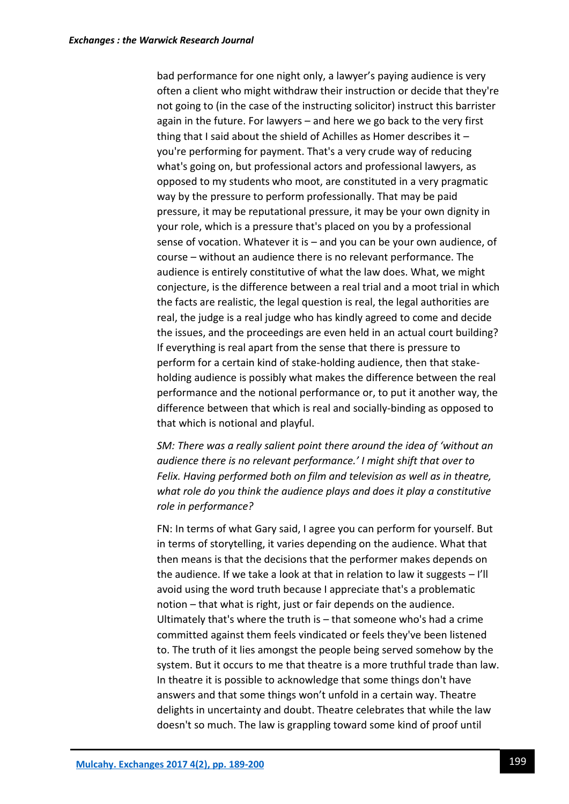bad performance for one night only, a lawyer's paying audience is very often a client who might withdraw their instruction or decide that they're not going to (in the case of the instructing solicitor) instruct this barrister again in the future. For lawyers – and here we go back to the very first thing that I said about the shield of Achilles as Homer describes it – you're performing for payment. That's a very crude way of reducing what's going on, but professional actors and professional lawyers, as opposed to my students who moot, are constituted in a very pragmatic way by the pressure to perform professionally. That may be paid pressure, it may be reputational pressure, it may be your own dignity in your role, which is a pressure that's placed on you by a professional sense of vocation. Whatever it is – and you can be your own audience, of course – without an audience there is no relevant performance. The audience is entirely constitutive of what the law does. What, we might conjecture, is the difference between a real trial and a moot trial in which the facts are realistic, the legal question is real, the legal authorities are real, the judge is a real judge who has kindly agreed to come and decide the issues, and the proceedings are even held in an actual court building? If everything is real apart from the sense that there is pressure to perform for a certain kind of stake-holding audience, then that stakeholding audience is possibly what makes the difference between the real performance and the notional performance or, to put it another way, the difference between that which is real and socially-binding as opposed to that which is notional and playful.

*SM: There was a really salient point there around the idea of 'without an audience there is no relevant performance.' I might shift that over to Felix. Having performed both on film and television as well as in theatre, what role do you think the audience plays and does it play a constitutive role in performance?*

FN: In terms of what Gary said, I agree you can perform for yourself. But in terms of storytelling, it varies depending on the audience. What that then means is that the decisions that the performer makes depends on the audience. If we take a look at that in relation to law it suggests – I'll avoid using the word truth because I appreciate that's a problematic notion – that what is right, just or fair depends on the audience. Ultimately that's where the truth is – that someone who's had a crime committed against them feels vindicated or feels they've been listened to. The truth of it lies amongst the people being served somehow by the system. But it occurs to me that theatre is a more truthful trade than law. In theatre it is possible to acknowledge that some things don't have answers and that some things won't unfold in a certain way. Theatre delights in uncertainty and doubt. Theatre celebrates that while the law doesn't so much. The law is grappling toward some kind of proof until